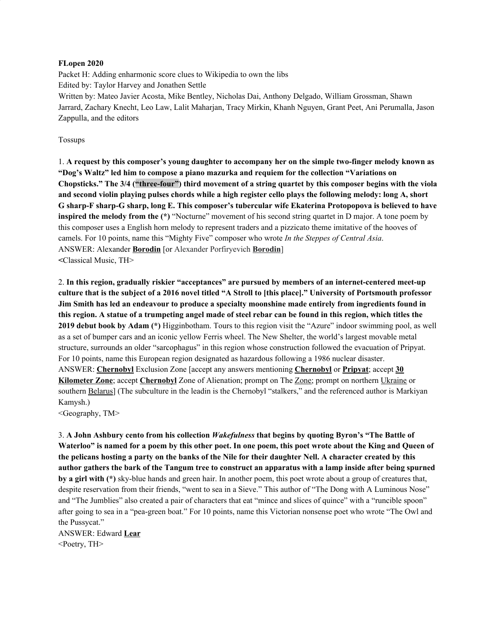#### **FLopen 2020**

Packet H: Adding enharmonic score clues to Wikipedia to own the libs Edited by: Taylor Harvey and Jonathen Settle Written by: Mateo Javier Acosta, Mike Bentley, Nicholas Dai, Anthony Delgado, William Grossman, Shawn Jarrard, Zachary Knecht, Leo Law, Lalit Maharjan, Tracy Mirkin, Khanh Nguyen, Grant Peet, Ani Perumalla, Jason Zappulla, and the editors

#### Tossups

1. **A request by this composer's young daughter to accompany her on the simple two-finger melody known as "Dog's Waltz" led him to compose a piano mazurka and requiem for the collection "Variations on** Chopsticks." The 3/4 ("three-four") third movement of a string quartet by this composer begins with the viola and second violin playing pulses chords while a high register cello plays the following melody: long A, short **G sharp-F sharp-G sharp, long E. This composer's tubercular wife Ekaterina Protopopova is believed to have inspired the melody from the (\*)** "Nocturne" movement of his second string quartet in D major. A tone poem by this composer uses a English horn melody to represent traders and a pizzicato theme imitative of the hooves of camels. For 10 points, name this "Mighty Five" composer who wrote *In the Steppes of Central Asia*. ANSWER: Alexander **Borodin** [or Alexander Porfiryevich **Borodin**] **<**Classical Music, TH>

2. **In this region, gradually riskier "acceptances" are pursued by members of an internet-centered meet-up** culture that is the subject of a 2016 novel titled "A Stroll to [this place]." University of Portsmouth professor **Jim Smith has led an endeavour to produce a specialty moonshine made entirely from ingredients found in** this region. A statue of a trumpeting angel made of steel rebar can be found in this region, which titles the **2019 debut book by Adam (\*)** Higginbotham. Tours to this region visit the "Azure" indoor swimming pool, as well as a set of bumper cars and an iconic yellow Ferris wheel. The New Shelter, the world's largest movable metal structure, surrounds an older "sarcophagus" in this region whose construction followed the evacuation of Pripyat. For 10 points, name this European region designated as hazardous following a 1986 nuclear disaster. ANSWER: **Chernobyl** Exclusion Zone [accept any answers mentioning **Chernobyl** or **Pripyat**; accept **30 Kilometer Zone**; accept **Chernobyl** Zone of Alienation; prompt on The Zone; prompt on northern Ukraine or southern Belarus] (The subculture in the leadin is the Chernobyl "stalkers," and the referenced author is Markiyan Kamysh.)

<Geography, TM>

3. **A John Ashbury cento from his collection** *Wakefulness* **that begins by quoting Byron's "The Battle of** Waterloo" is named for a poem by this other poet. In one poem, this poet wrote about the King and Queen of the pelicans hosting a party on the banks of the Nile for their daughter Nell. A character created by this author gathers the bark of the Tangum tree to construct an apparatus with a lamp inside after being spurned **by a girl with (\*)** sky-blue hands and green hair. In another poem, this poet wrote about a group of creatures that, despite reservation from their friends, "went to sea in a Sieve." This author of "The Dong with A Luminous Nose" and "The Jumblies" also created a pair of characters that eat "mince and slices of quince" with a "runcible spoon" after going to sea in a "pea-green boat." For 10 points, name this Victorian nonsense poet who wrote "The Owl and the Pussycat."

ANSWER: Edward **Lear** <Poetry, TH>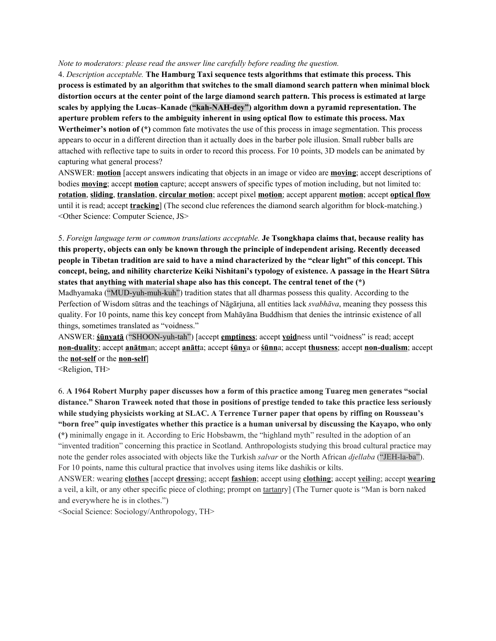#### *Note to moderators: please read the answer line carefully before reading the question.*

4. *Description acceptable.* **The Hamburg Taxi sequence tests algorithms that estimate this process. This process is estimated by an algorithm that switches to the small diamond search pattern when minimal block** distortion occurs at the center point of the large diamond search pattern. This process is estimated at large **scales by applying the Lucas–Kanade ("kah-NAH-dey") algorithm down a pyramid representation. The aperture problem refers to the ambiguity inherent in using optical flow to estimate this process. Max Wertheimer's notion of (\*)** common fate motivates the use of this process in image segmentation. This process appears to occur in a different direction than it actually does in the barber pole illusion. Small rubber balls are attached with reflective tape to suits in order to record this process. For 10 points, 3D models can be animated by capturing what general process?

ANSWER: **motion** [accept answers indicating that objects in an image or video are **moving**; accept descriptions of bodies **moving**; accept **motion** capture; accept answers of specific types of motion including, but not limited to: **rotation**, **sliding**, **translation**, **circular motion**; accept pixel **motion**; accept apparent **motion**; accept **optical flow** until it is read; accept **tracking**] (The second clue references the diamond search algorithm for block-matching.) <Other Science: Computer Science, JS>

5. *Foreign language term or common translations acceptable.* **Je Tsongkhapa claims that, because reality has this property, objects can only be known through the principle of independent arising. Recently deceased** people in Tibetan tradition are said to have a mind characterized by the "clear light" of this concept. This **concept, being, and nihility charcterize Keiki Nishitani's typology of existence. A passage in the Heart Sūtra states that anything with material shape also has this concept. The central tenet of the (\*)**

Madhyamaka ("MUD-yuh-muh-kuh") tradition states that all dharmas possess this quality. According to the Perfection of Wisdom sūtras and the teachings of Nāgārjuna, all entities lack *svabhāva*, meaning they possess this quality. For 10 points, name this key concept from Mahāyāna Buddhism that denies the intrinsic existence of all things, sometimes translated as "voidness."

ANSWER: **śūnyatā** ("SHOON-yuh-tah") [accept **emptiness**; accept **void**ness until "voidness" is read; accept **non-duality**; accept **anātm**an; accept **anātt**a; accept **śūny**a or **śūnn**a; accept **thusness**; accept **non-dualism**; accept the **not-self** or the **non-self**]

<Religion, TH>

6. **A 1964 Robert Murphy paper discusses how a form of this practice among Tuareg men generates "social** distance." Sharon Traweek noted that those in positions of prestige tended to take this practice less seriously **while studying physicists working at SLAC. A Terrence Turner paper that opens by riffing on Rousseau's** "born free" quip investigates whether this practice is a human universal by discussing the Kayapo, who only **(\*)** minimally engage in it. According to Eric Hobsbawm, the "highland myth" resulted in the adoption of an "invented tradition" concerning this practice in Scotland. Anthropologists studying this broad cultural practice may note the gender roles associated with objects like the Turkish *salvar* or the North African *djellaba* ("JEH-la-ba"). For 10 points, name this cultural practice that involves using items like dashikis or kilts.

ANSWER: wearing **clothes** [accept **dress**ing; accept **fashion**; accept using **clothing**; accept **veil**ing; accept **wearing** a veil, a kilt, or any other specific piece of clothing; prompt on tartanry] (The Turner quote is "Man is born naked and everywhere he is in clothes.")

<Social Science: Sociology/Anthropology, TH>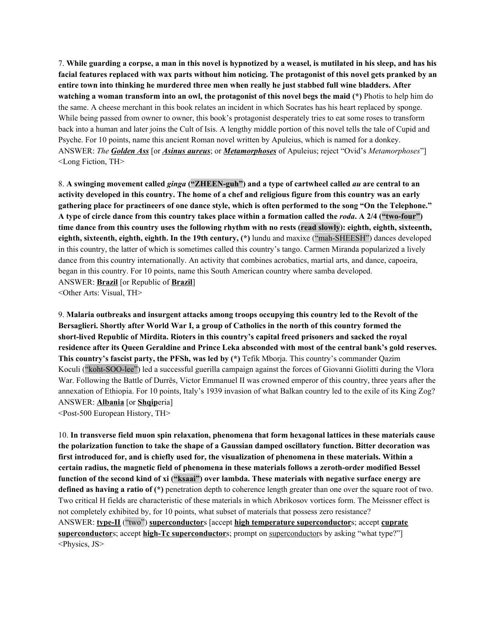7. While guarding a corpse, a man in this novel is hypnotized by a weasel, is mutilated in his sleep, and has his facial features replaced with wax parts without him noticing. The protagonist of this novel gets pranked by an **entire town into thinking he murdered three men when really he just stabbed full wine bladders. After watching a woman transform into an owl, the protagonist of this novel begs the maid (\*)** Photis to help him do the same. A cheese merchant in this book relates an incident in which Socrates has his heart replaced by sponge. While being passed from owner to owner, this book's protagonist desperately tries to eat some roses to transform back into a human and later joins the Cult of Isis. A lengthy middle portion of this novel tells the tale of Cupid and Psyche. For 10 points, name this ancient Roman novel written by Apuleius, which is named for a donkey. ANSWER: *The Golden Ass* [or *Asinus aureus*; or *Metamorphoses* of Apuleius; reject "Ovid's *Metamorphoses*"] <Long Fiction, TH>

8. **A swinging movement called** *ginga* **("ZHEEN-guh") and a type of cartwheel called** *au* **are central to an** activity developed in this country. The home of a chef and religious figure from this country was an early gathering place for practineers of one dance style, which is often performed to the song "On the Telephone." A type of circle dance from this country takes place within a formation called the roda. A 2/4 ("two-four") time dance from this country uses the following rhythm with no rests (read slowly): eighth, eighth, sixteenth, **eighth, sixteenth, eighth, eighth. In the 19th century, (\*)** lundu and maxixe ("mah-SHEESH") dances developed in this country, the latter of which is sometimes called this country's tango. Carmen Miranda popularized a lively dance from this country internationally. An activity that combines acrobatics, martial arts, and dance, capoeira, began in this country. For 10 points, name this South American country where samba developed. ANSWER: **Brazil** [or Republic of **Brazil**] <Other Arts: Visual, TH>

9. **Malaria outbreaks and insurgent attacks among troops occupying this country led to the Revolt of the** Bersaglieri. Shortly after World War I, a group of Catholics in the north of this country formed the **short-lived Republic of Mirdita. Rioters in this country's capital freed prisoners and sacked the royal** residence after its Queen Geraldine and Prince Leka absconded with most of the central bank's gold reserves. **This country's fascist party, the PFSh, was led by (\*)** Tefik Mborja. This country's commander Qazim Koculi ("koht-SOO-lee") led a successful guerilla campaign against the forces of Giovanni Giolitti during the Vlora War. Following the Battle of Durrës, Victor Emmanuel II was crowned emperor of this country, three years after the annexation of Ethiopia. For 10 points, Italy's 1939 invasion of what Balkan country led to the exile of its King Zog? ANSWER: **Albania** [or **Shqip**eria] <Post-500 European History, TH>

10. **In transverse field muon spin relaxation, phenomena that form hexagonal lattices in these materials cause the polarization function to take the shape of a Gaussian damped oscillatory function. Bitter decoration was** first introduced for, and is chiefly used for, the visualization of phenomena in these materials. Within a **certain radius, the magnetic field of phenomena in these materials follows a zeroth-order modified Bessel function of the second kind of xi ("ksaai") over lambda. These materials with negative surface energy are defined as having a ratio of (\*)** penetration depth to coherence length greater than one over the square root of two. Two critical H fields are characteristic of these materials in which Abrikosov vortices form. The Meissner effect is not completely exhibited by, for 10 points, what subset of materials that possess zero resistance? ANSWER: **type-II** ("two") **superconductor**s [accept **high temperature superconductor**s; accept **cuprate superconductor**s; accept **high-Tc superconductor**s; prompt on superconductors by asking "what type?"] <Physics, JS>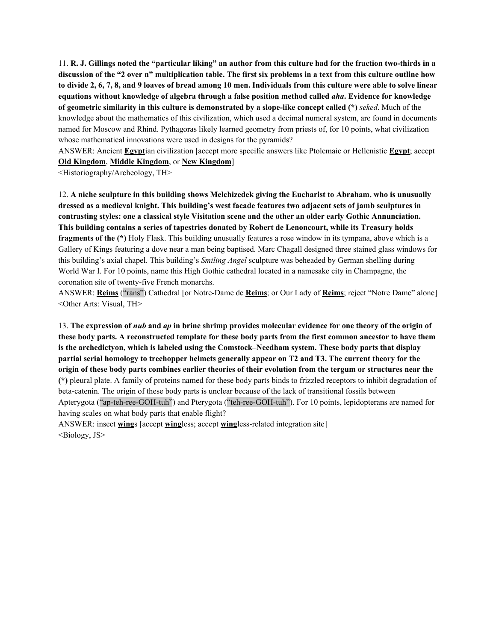11. R. J. Gillings noted the "particular liking" an author from this culture had for the fraction two-thirds in a discussion of the "2 over n" multiplication table. The first six problems in a text from this culture outline how to divide 2, 6, 7, 8, and 9 loaves of bread among 10 men. Individuals from this culture were able to solve linear **equations without knowledge of algebra through a false position method called** *aha***. Evidence for knowledge of geometric similarity in this culture is demonstrated by a slope-like concept called (\*)** *seked*. Much of the knowledge about the mathematics of this civilization, which used a decimal numeral system, are found in documents named for Moscow and Rhind. Pythagoras likely learned geometry from priests of, for 10 points, what civilization whose mathematical innovations were used in designs for the pyramids?

ANSWER: Ancient **Egypt**ian civilization [accept more specific answers like Ptolemaic or Hellenistic **Egypt**; accept **Old Kingdom**, **Middle Kingdom**, or **New Kingdom**]

<Historiography/Archeology, TH>

12. **A niche sculpture in this building shows Melchizedek giving the Eucharist to Abraham, who is unusually** dressed as a medieval knight. This building's west facade features two adjacent sets of jamb sculptures in **contrasting styles: one a classical style Visitation scene and the other an older early Gothic Annunciation. This building contains a series of tapestries donated by Robert de Lenoncourt, while its Treasury holds fragments of the (\*)** Holy Flask. This building unusually features a rose window in its tympana, above which is a Gallery of Kings featuring a dove near a man being baptised. Marc Chagall designed three stained glass windows for this building's axial chapel. This building's *Smiling Angel* sculpture was beheaded by German shelling during World War I. For 10 points, name this High Gothic cathedral located in a namesake city in Champagne, the coronation site of twenty-five French monarchs.

ANSWER: **Reims** ("rans") Cathedral [or Notre-Dame de **Reims**; or Our Lady of **Reims**; reject "Notre Dame" alone] <Other Arts: Visual, TH>

13. The expression of *nub* and *ap* in brine shrimp provides molecular evidence for one theory of the origin of these body parts. A reconstructed template for these body parts from the first common ancestor to have them **is the archedictyon, which is labeled using the Comstock–Needham system. These body parts that display partial serial homology to treehopper helmets generally appear on T2 and T3. The current theory for the** origin of these body parts combines earlier theories of their evolution from the tergum or structures near the **(\*)** pleural plate. A family of proteins named for these body parts binds to frizzled receptors to inhibit degradation of beta-catenin. The origin of these body parts is unclear because of the lack of transitional fossils between Apterygota ("ap-teh-ree-GOH-tuh") and Pterygota ("teh-ree-GOH-tuh"). For 10 points, lepidopterans are named for having scales on what body parts that enable flight?

ANSWER: insect **wing**s [accept **wing**less; accept **wing**less-related integration site] <Biology, JS>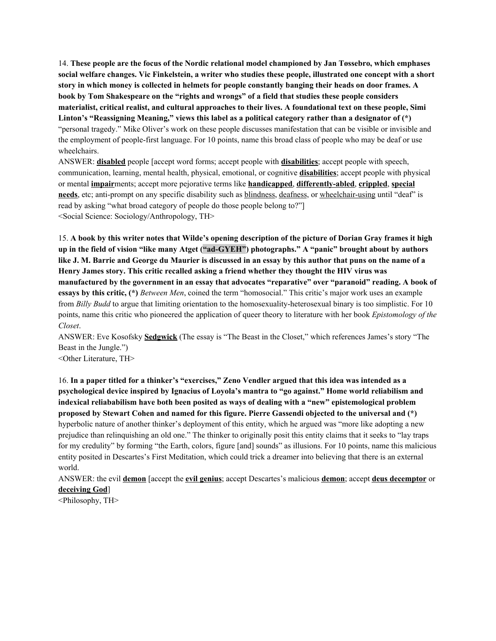14. **These people are the focus of the Nordic relational model championed by Jan Tøssebro, which emphases** social welfare changes. Vic Finkelstein, a writer who studies these people, illustrated one concept with a short story in which money is collected in helmets for people constantly banging their heads on door frames. A **book by Tom Shakespeare on the "rights and wrongs" of a field that studies these people considers materialist, critical realist, and cultural approaches to their lives. A foundational text on these people, Simi Linton's "Reassigning Meaning," views this label as a political category rather than a designator of (\*)** "personal tragedy." Mike Oliver's work on these people discusses manifestation that can be visible or invisible and the employment of people-first language. For 10 points, name this broad class of people who may be deaf or use wheelchairs.

ANSWER: **disabled** people [accept word forms; accept people with **disabilities**; accept people with speech, communication, learning, mental health, physical, emotional, or cognitive **disabilities**; accept people with physical or mental **impair**ments; accept more pejorative terms like **handicapped**, **differently-abled**, **crippled**, **special needs**, etc; anti-prompt on any specific disability such as blindness, deafness, or wheelchair-using until "deaf" is read by asking "what broad category of people do those people belong to?"] <Social Science: Sociology/Anthropology, TH>

15. A book by this writer notes that Wilde's opening description of the picture of Dorian Gray frames it high **up in the field of vision "like many Atget ("ad-GYEH") photographs." A "panic" brought about by authors** like J. M. Barrie and George du Maurier is discussed in an essay by this author that puns on the name of a **Henry James story. This critic recalled asking a friend whether they thought the HIV virus was manufactured by the government in an essay that advocates "reparative" over "paranoid" reading. A book of essays by this critic, (\*)** *Between Men*, coined the term "homosocial." This critic's major work uses an example from *Billy Budd* to argue that limiting orientation to the homosexuality-heterosexual binary is too simplistic. For 10 points, name this critic who pioneered the application of queer theory to literature with her book *Epistomology of the Closet*.

ANSWER: Eve Kosofsky **Sedgwick** (The essay is "The Beast in the Closet," which references James's story "The Beast in the Jungle.")

<Other Literature, TH>

16. In a paper titled for a thinker's "exercises," Zeno Vendler argued that this idea was intended as a **psychological device inspired by Ignacius of Loyola's mantra to "go against." Home world reliabilism and indexical reliababilism have both been posited as ways of dealing with a "new" epistemological problem proposed by Stewart Cohen and named for this figure. Pierre Gassendi objected to the universal and (\*)** hyperbolic nature of another thinker's deployment of this entity, which he argued was "more like adopting a new prejudice than relinquishing an old one." The thinker to originally posit this entity claims that it seeks to "lay traps for my credulity" by forming "the Earth, colors, figure [and] sounds" as illusions. For 10 points, name this malicious entity posited in Descartes's First Meditation, which could trick a dreamer into believing that there is an external world.

ANSWER: the evil **demon** [accept the **evil genius**; accept Descartes's malicious **demon**; accept **deus decemptor** or **deceiving God**]

<Philosophy, TH>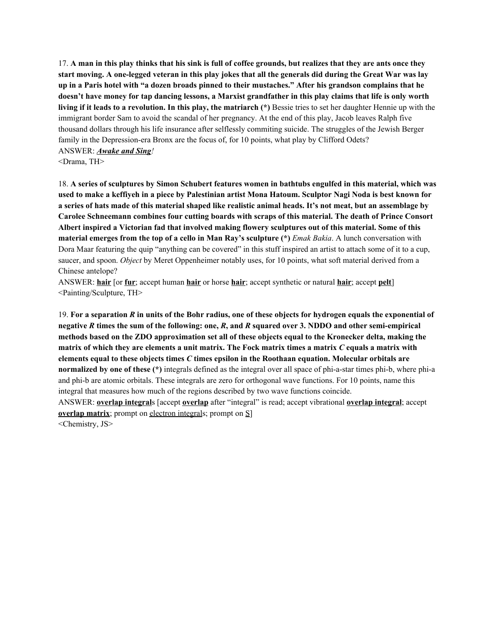17. A man in this play thinks that his sink is full of coffee grounds, but realizes that they are ants once they start moving. A one-legged veteran in this play jokes that all the generals did during the Great War was lay up in a Paris hotel with "a dozen broads pinned to their mustaches." After his grandson complains that he doesn't have money for tap dancing lessons, a Marxist grandfather in this play claims that life is only worth **living if it leads to a revolution. In this play, the matriarch (\*)** Bessie tries to set her daughter Hennie up with the immigrant border Sam to avoid the scandal of her pregnancy. At the end of this play, Jacob leaves Ralph five thousand dollars through his life insurance after selflessly commiting suicide. The struggles of the Jewish Berger family in the Depression-era Bronx are the focus of, for 10 points, what play by Clifford Odets? ANSWER: *Awake and Sing!*

<Drama, TH>

18. A series of sculptures by Simon Schubert features women in bathtubs engulfed in this material, which was used to make a keffiyeh in a piece by Palestinian artist Mona Hatoum. Sculptor Nagi Noda is best known for a series of hats made of this material shaped like realistic animal heads. It's not meat, but an assemblage by **Carolee Schneemann combines four cutting boards with scraps of this material. The death of Prince Consort** Albert inspired a Victorian fad that involved making flowery sculptures out of this material. Some of this **material emerges from the top of a cello in Man Ray's sculpture (\*)** *Emak Bakia*. A lunch conversation with Dora Maar featuring the quip "anything can be covered" in this stuff inspired an artist to attach some of it to a cup, saucer, and spoon. *Object* by Meret Oppenheimer notably uses, for 10 points, what soft material derived from a Chinese antelope?

ANSWER: **hair** [or **fur**; accept human **hair** or horse **hair**; accept synthetic or natural **hair**; accept **pelt**] <Painting/Sculpture, TH>

19. For a separation R in units of the Bohr radius, one of these objects for hydrogen equals the exponential of negative R times the sum of the following: one, R, and R squared over 3. NDDO and other semi-empirical methods based on the ZDO approximation set all of these objects equal to the Kronecker delta, making the matrix of which they are elements a unit matrix. The Fock matrix times a matrix C equals a matrix with **elements equal to these objects times** *C* **times epsilon in the Roothaan equation. Molecular orbitals are normalized by one of these (\*)** integrals defined as the integral over all space of phi-a-star times phi-b, where phi-a and phi-b are atomic orbitals. These integrals are zero for orthogonal wave functions. For 10 points, name this integral that measures how much of the regions described by two wave functions coincide. ANSWER: **overlap integral**s [accept **overlap** after "integral" is read; accept vibrational **overlap integral**; accept **overlap matrix**; prompt on electron integrals; prompt on  $S$ ] <Chemistry, JS>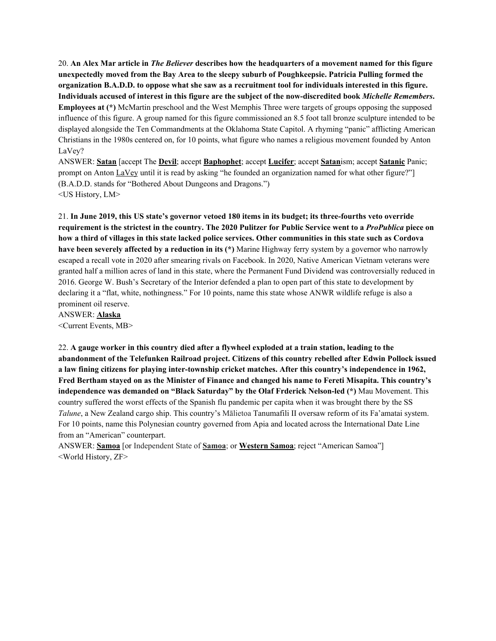20. An Alex Mar article in *The Believer* describes how the headquarters of a movement named for this figure **unexpectedly moved from the Bay Area to the sleepy suburb of Poughkeepsie. Patricia Pulling formed the** organization B.A.D.D. to oppose what she saw as a recruitment tool for individuals interested in this figure. Individuals accused of interest in this figure are the subject of the now-discredited book Michelle Remembers. **Employees at (\*)** McMartin preschool and the West Memphis Three were targets of groups opposing the supposed influence of this figure. A group named for this figure commissioned an 8.5 foot tall bronze sculpture intended to be displayed alongside the Ten Commandments at the Oklahoma State Capitol. A rhyming "panic" afflicting American Christians in the 1980s centered on, for 10 points, what figure who names a religious movement founded by Anton LaVey?

ANSWER: **Satan** [accept The **Devil**; accept **Baphophet**; accept **Lucifer**; accept **Satan**ism; accept **Satanic** Panic; prompt on Anton LaVey until it is read by asking "he founded an organization named for what other figure?"] (B.A.D.D. stands for "Bothered About Dungeons and Dragons.") <US History, LM>

21. In June 2019, this US state's governor vetoed 180 items in its budget; its three-fourths veto override requirement is the strictest in the country. The 2020 Pulitzer for Public Service went to a *ProPublica* piece on how a third of villages in this state lacked police services. Other communities in this state such as Cordova **have been severely affected by a reduction in its (\*)** Marine Highway ferry system by a governor who narrowly escaped a recall vote in 2020 after smearing rivals on Facebook. In 2020, Native American Vietnam veterans were granted half a million acres of land in this state, where the Permanent Fund Dividend was controversially reduced in 2016. George W. Bush's Secretary of the Interior defended a plan to open part of this state to development by declaring it a "flat, white, nothingness." For 10 points, name this state whose ANWR wildlife refuge is also a prominent oil reserve.

ANSWER: **Alaska** <Current Events, MB>

22. A gauge worker in this country died after a flywheel exploded at a train station, leading to the **abandonment of the Telefunken Railroad project. Citizens of this country rebelled after Edwin Pollock issued a law fining citizens for playing inter-township cricket matches. After this country's independence in 1962,** Fred Bertham stayed on as the Minister of Finance and changed his name to Fereti Misapita. This country's **independence was demanded on "Black Saturday" by the Olaf Frderick Nelson-led (\*)** Mau Movement. This country suffered the worst effects of the Spanish flu pandemic per capita when it was brought there by the SS *Talune*, a New Zealand cargo ship. This country's Mālietoa Tanumafili II oversaw reform of its Fa'amatai system. For 10 points, name this Polynesian country governed from Apia and located across the International Date Line from an "American" counterpart.

ANSWER: **Samoa** [or Independent State of **Samoa**; or **Western Samoa**; reject "American Samoa"] <World History, ZF>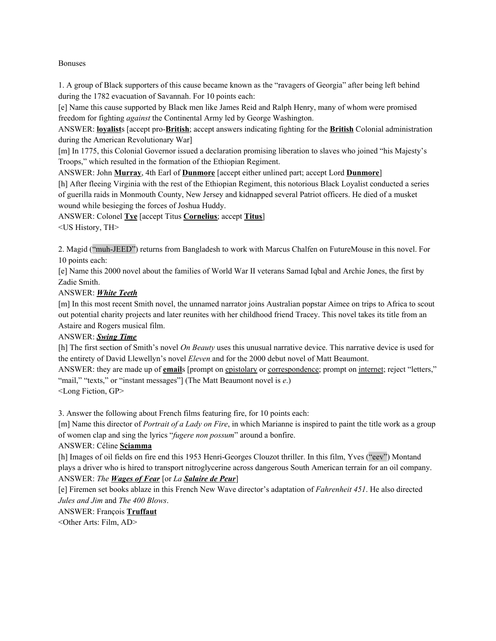#### Bonuses

1. A group of Black supporters of this cause became known as the "ravagers of Georgia" after being left behind during the 1782 evacuation of Savannah. For 10 points each:

[e] Name this cause supported by Black men like James Reid and Ralph Henry, many of whom were promised freedom for fighting *against* the Continental Army led by George Washington.

ANSWER: **loyalist**s [accept pro-**British**; accept answers indicating fighting for the **British** Colonial administration during the American Revolutionary War]

[m] In 1775, this Colonial Governor issued a declaration promising liberation to slaves who joined "his Majesty's Troops," which resulted in the formation of the Ethiopian Regiment.

ANSWER: John **Murray**, 4th Earl of **Dunmore** [accept either unlined part; accept Lord **Dunmore**]

[h] After fleeing Virginia with the rest of the Ethiopian Regiment, this notorious Black Loyalist conducted a series of guerilla raids in Monmouth County, New Jersey and kidnapped several Patriot officers. He died of a musket wound while besieging the forces of Joshua Huddy.

ANSWER: Colonel **Tye** [accept Titus **Cornelius**; accept **Titus**]

<US History, TH>

2. Magid ("muh-JEED") returns from Bangladesh to work with Marcus Chalfen on FutureMouse in this novel. For 10 points each:

[e] Name this 2000 novel about the families of World War II veterans Samad Iqbal and Archie Jones, the first by Zadie Smith.

#### ANSWER: *White Teeth*

[m] In this most recent Smith novel, the unnamed narrator joins Australian popstar Aimee on trips to Africa to scout out potential charity projects and later reunites with her childhood friend Tracey. This novel takes its title from an Astaire and Rogers musical film.

## ANSWER: *Swing Time*

[h] The first section of Smith's novel *On Beauty* uses this unusual narrative device. This narrative device is used for the entirety of David Llewellyn's novel *Eleven* and for the 2000 debut novel of Matt Beaumont.

ANSWER: they are made up of **email**s [prompt on epistolary or correspondence; prompt on internet; reject "letters," "mail," "texts," or "instant messages"] (The Matt Beaumont novel is *e*.) <Long Fiction, GP>

3. Answer the following about French films featuring fire, for 10 points each:

[m] Name this director of *Portrait of a Lady on Fire*, in which Marianne is inspired to paint the title work as a group of women clap and sing the lyrics "*fugere non possum*" around a bonfire.

#### ANSWER: Céline **Sciamma**

[h] Images of oil fields on fire end this 1953 Henri-Georges Clouzot thriller. In this film, Yves ("eev") Montand plays a driver who is hired to transport nitroglycerine across dangerous South American terrain for an oil company. ANSWER: *The Wages of Fear* [or *La Salaire de Peur*]

[e] Firemen set books ablaze in this French New Wave director's adaptation of *Fahrenheit 451*. He also directed *Jules and Jim* and *The 400 Blows*.

## ANSWER: François **Truffaut**

<Other Arts: Film, AD>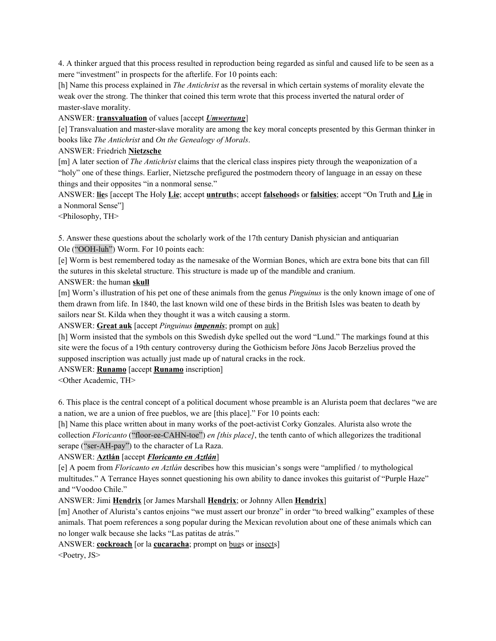4. A thinker argued that this process resulted in reproduction being regarded as sinful and caused life to be seen as a mere "investment" in prospects for the afterlife. For 10 points each:

[h] Name this process explained in *The Antichrist* as the reversal in which certain systems of morality elevate the weak over the strong. The thinker that coined this term wrote that this process inverted the natural order of master-slave morality.

ANSWER: **transvaluation** of values [accept *Umwertung*]

[e] Transvaluation and master-slave morality are among the key moral concepts presented by this German thinker in books like *The Antichrist* and *On the Genealogy of Morals*.

#### ANSWER: Friedrich **Nietzsche**

[m] A later section of *The Antichrist* claims that the clerical class inspires piety through the weaponization of a "holy" one of these things. Earlier, Nietzsche prefigured the postmodern theory of language in an essay on these things and their opposites "in a nonmoral sense."

ANSWER: **lie**s [accept The Holy **Lie**; accept **untruth**s; accept **falsehood**s or **falsities**; accept "On Truth and **Lie** in a Nonmoral Sense"]

<Philosophy, TH>

5. Answer these questions about the scholarly work of the 17th century Danish physician and antiquarian Ole ("OOH-luh") Worm. For 10 points each:

[e] Worm is best remembered today as the namesake of the Wormian Bones, which are extra bone bits that can fill the sutures in this skeletal structure. This structure is made up of the mandible and cranium.

ANSWER: the human **skull**

[m] Worm's illustration of his pet one of these animals from the genus *Pinguinus* is the only known image of one of them drawn from life. In 1840, the last known wild one of these birds in the British Isles was beaten to death by sailors near St. Kilda when they thought it was a witch causing a storm.

ANSWER: **Great auk** [accept *Pinguinus impennis*; prompt on auk]

[h] Worm insisted that the symbols on this Swedish dyke spelled out the word "Lund." The markings found at this site were the focus of a 19th century controversy during the Gothicism before Jöns Jacob Berzelius proved the supposed inscription was actually just made up of natural cracks in the rock.

ANSWER: **Runamo** [accept **Runamo** inscription]

<Other Academic, TH>

6. This place is the central concept of a political document whose preamble is an Alurista poem that declares "we are a nation, we are a union of free pueblos, we are [this place]." For 10 points each:

[h] Name this place written about in many works of the poet-activist Corky Gonzales. Alurista also wrote the collection *Floricanto* ("floor-ee-CAHN-toe") *en [this place]*, the tenth canto of which allegorizes the traditional serape ("ser-AH-pay") to the character of La Raza.

#### ANSWER: **Aztlán** [accept *Floricanto en Aztlán*]

[e] A poem from *Floricanto en Aztlán* describes how this musician's songs were "amplified / to mythological multitudes." A Terrance Hayes sonnet questioning his own ability to dance invokes this guitarist of "Purple Haze" and "Voodoo Chile."

ANSWER: Jimi **Hendrix** [or James Marshall **Hendrix**; or Johnny Allen **Hendrix**]

[m] Another of Alurista's cantos enjoins "we must assert our bronze" in order "to breed walking" examples of these animals. That poem references a song popular during the Mexican revolution about one of these animals which can no longer walk because she lacks "Las patitas de atrás."

ANSWER: **cockroach** [or la **cucaracha**; prompt on bugs or insects]

<Poetry, JS>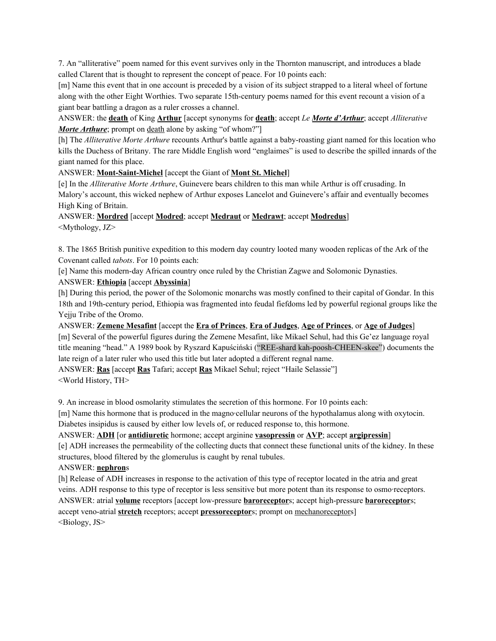7. An "alliterative" poem named for this event survives only in the Thornton manuscript, and introduces a blade called Clarent that is thought to represent the concept of peace. For 10 points each:

[m] Name this event that in one account is preceded by a vision of its subject strapped to a literal wheel of fortune along with the other Eight Worthies. Two separate 15th-century poems named for this event recount a vision of a giant bear battling a dragon as a ruler crosses a channel.

ANSWER: the **death** of King **Arthur** [accept synonyms for **death**; accept *Le Morte d'Arthur*; accept *Alliterative Morte Arthure*; prompt on death alone by asking "of whom?"]

[h] The *Alliterative Morte Arthure* recounts Arthur's battle against a baby-roasting giant named for this location who kills the Duchess of Britany. The rare Middle English word "englaimes" is used to describe the spilled innards of the giant named for this place.

ANSWER: **Mont-Saint-Michel** [accept the Giant of **Mont St. Michel**]

[e] In the *Alliterative Morte Arthure*, Guinevere bears children to this man while Arthur is off crusading. In Malory's account, this wicked nephew of Arthur exposes Lancelot and Guinevere's affair and eventually becomes High King of Britain.

ANSWER: **Mordred** [accept **Modred**; accept **Medraut** or **Medrawt**; accept **Modredus**] <Mythology, JZ>

8. The 1865 British punitive expedition to this modern day country looted many wooden replicas of the Ark of the Covenant called *tabots*. For 10 points each:

[e] Name this modern-day African country once ruled by the Christian Zagwe and Solomonic Dynasties. ANSWER: **Ethiopia** [accept **Abyssinia**]

[h] During this period, the power of the Solomonic monarchs was mostly confined to their capital of Gondar. In this 18th and 19th-century period, Ethiopia was fragmented into feudal fiefdoms led by powerful regional groups like the Yejju Tribe of the Oromo.

ANSWER: **Zemene Mesafint** [accept the **Era of Princes**, **Era of Judges**, **Age of Princes**, or **Age of Judges**]

[m] Several of the powerful figures during the Zemene Mesafint, like Mikael Sehul, had this Ge'ez language royal title meaning "head." A 1989 book by Ryszard Kapuściński ("REE-shard kah-poosh-CHEEN-skee") documents the late reign of a later ruler who used this title but later adopted a different regnal name.

ANSWER: **Ras** [accept **Ras** Tafari; accept **Ras** Mikael Sehul; reject "Haile Selassie"] <World History, TH>

9. An increase in blood osmolarity stimulates the secretion of this hormone. For 10 points each:

[m] Name this hormone that is produced in the magno-cellular neurons of the hypothalamus along with oxytocin. Diabetes insipidus is caused by either low levels of, or reduced response to, this hormone.

ANSWER: **ADH** [or **antidiuretic** hormone; accept arginine **vasopressin** or **AVP**; accept **argipressin**]

[e] ADH increases the permeability of the collecting ducts that connect these functional units of the kidney. In these structures, blood filtered by the glomerulus is caught by renal tubules.

#### ANSWER: **nephron**s

[h] Release of ADH increases in response to the activation of this type of receptor located in the atria and great veins. ADH response to this type of receptor is less sensitive but more potent than its response to osmo·receptors. ANSWER: atrial **volume** receptors [accept low-pressure **baroreceptor**s; accept high-pressure **baroreceptor**s; accept veno-atrial **stretch** receptors; accept **pressoreceptor**s; prompt on mechanoreceptors]  $\leq$ Biology, JS $>$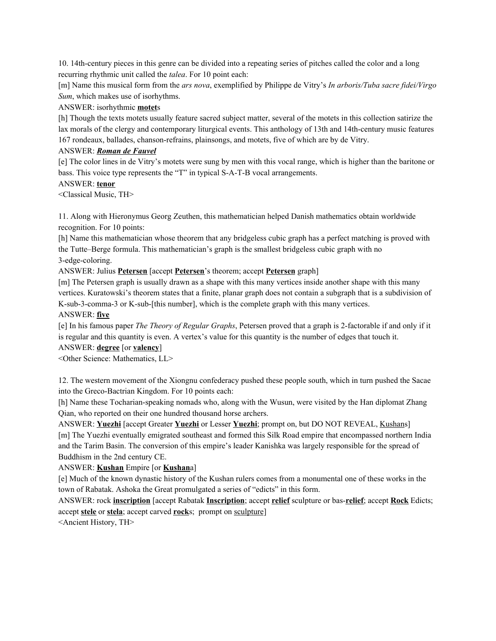10. 14th-century pieces in this genre can be divided into a repeating series of pitches called the color and a long recurring rhythmic unit called the *talea*. For 10 point each:

[m] Name this musical form from the *ars nova*, exemplified by Philippe de Vitry's *In arboris/Tuba sacre fidei/Virgo Sum*, which makes use of isorhythms.

ANSWER: isorhythmic **motet**s

[h] Though the texts motets usually feature sacred subject matter, several of the motets in this collection satirize the lax morals of the clergy and contemporary liturgical events. This anthology of 13th and 14th-century music features 167 rondeaux, ballades, chanson-refrains, plainsongs, and motets, five of which are by de Vitry.

#### ANSWER: *Roman de Fauvel*

[e] The color lines in de Vitry's motets were sung by men with this vocal range, which is higher than the baritone or bass. This voice type represents the "T" in typical S-A-T-B vocal arrangements.

## ANSWER: **tenor**

<Classical Music, TH>

11. Along with Hieronymus Georg Zeuthen, this mathematician helped Danish mathematics obtain worldwide recognition. For 10 points:

[h] Name this mathematician whose theorem that any bridgeless cubic graph has a perfect matching is proved with the Tutte–Berge formula. This mathematician's graph is the smallest bridgeless cubic graph with no 3-edge-coloring.

ANSWER: Julius **Petersen** [accept **Petersen**'s theorem; accept **Petersen** graph]

[m] The Petersen graph is usually drawn as a shape with this many vertices inside another shape with this many vertices. Kuratowski's theorem states that a finite, planar graph does not contain a subgraph that is a subdivision of K-sub-3-comma-3 or K-sub-[this number], which is the complete graph with this many vertices.

#### ANSWER: **five**

[e] In his famous paper *The Theory of Regular Graphs*, Petersen proved that a graph is 2-factorable if and only if it is regular and this quantity is even. A vertex's value for this quantity is the number of edges that touch it.

# ANSWER: **degree** [or **valency**]

<Other Science: Mathematics, LL>

12. The western movement of the Xiongnu confederacy pushed these people south, which in turn pushed the Sacae into the Greco-Bactrian Kingdom. For 10 points each:

[h] Name these Tocharian-speaking nomads who, along with the Wusun, were visited by the Han diplomat Zhang Qian, who reported on their one hundred thousand horse archers.

ANSWER: **Yuezhi** [accept Greater **Yuezhi** or Lesser **Yuezhi**; prompt on, but DO NOT REVEAL, Kushans] [m] The Yuezhi eventually emigrated southeast and formed this Silk Road empire that encompassed northern India and the Tarim Basin. The conversion of this empire's leader Kanishka was largely responsible for the spread of Buddhism in the 2nd century CE.

ANSWER: **Kushan** Empire [or **Kushan**a]

[e] Much of the known dynastic history of the Kushan rulers comes from a monumental one of these works in the town of Rabatak. Ashoka the Great promulgated a series of "edicts" in this form.

ANSWER: rock **inscription** [accept Rabatak **Inscription**; accept **relief** sculpture or bas-**relief**; accept **Rock** Edicts; accept **stele** or **stela**; accept carved **rock**s; prompt on sculpture]

<Ancient History, TH>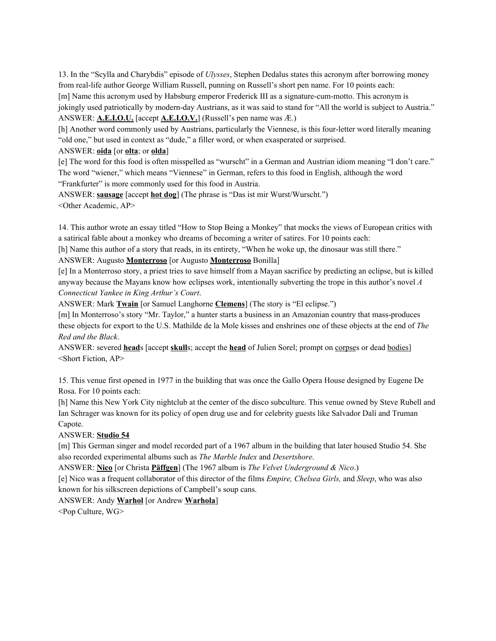13. In the "Scylla and Charybdis" episode of *Ulysses*, Stephen Dedalus states this acronym after borrowing money from real-life author George William Russell, punning on Russell's short pen name. For 10 points each: [m] Name this acronym used by Habsburg emperor Frederick III as a signature-cum-motto. This acronym is

jokingly used patriotically by modern-day Austrians, as it was said to stand for "All the world is subject to Austria." ANSWER: **A.E.I.O.U.** [accept **A.E.I.O.V.**] (Russell's pen name was Æ.)

[h] Another word commonly used by Austrians, particularly the Viennese, is this four-letter word literally meaning "old one," but used in context as "dude," a filler word, or when exasperated or surprised.

ANSWER: **oida** [or **olta**; or **olda**]

[e] The word for this food is often misspelled as "wurscht" in a German and Austrian idiom meaning "I don't care." The word "wiener," which means "Viennese" in German, refers to this food in English, although the word "Frankfurter" is more commonly used for this food in Austria.

ANSWER: **sausage** [accept **hot dog**] (The phrase is "Das ist mir Wurst/Wurscht.") <Other Academic, AP>

14. This author wrote an essay titled "How to Stop Being a Monkey" that mocks the views of European critics with a satirical fable about a monkey who dreams of becoming a writer of satires. For 10 points each:

[h] Name this author of a story that reads, in its entirety, "When he woke up, the dinosaur was still there."

ANSWER: Augusto **Monterroso** [or Augusto **Monterroso** Bonilla]

[e] In a Monterroso story, a priest tries to save himself from a Mayan sacrifice by predicting an eclipse, but is killed anyway because the Mayans know how eclipses work, intentionally subverting the trope in this author's novel *A Connecticut Yankee in King Arthur's Court*.

ANSWER: Mark **Twain** [or Samuel Langhorne **Clemens**] (The story is "El eclipse.")

[m] In Monterroso's story "Mr. Taylor," a hunter starts a business in an Amazonian country that mass-produces these objects for export to the U.S. Mathilde de la Mole kisses and enshrines one of these objects at the end of *The Red and the Black*.

ANSWER: severed **head**s [accept **skull**s; accept the **head** of Julien Sorel; prompt on corpses or dead bodies] <Short Fiction, AP>

15. This venue first opened in 1977 in the building that was once the Gallo Opera House designed by Eugene De Rosa. For 10 points each:

[h] Name this New York City nightclub at the center of the disco subculture. This venue owned by Steve Rubell and Ian Schrager was known for its policy of open drug use and for celebrity guests like Salvador Dalí and Truman Capote.

## ANSWER: **Studio 54**

[m] This German singer and model recorded part of a 1967 album in the building that later housed Studio 54. She also recorded experimental albums such as *The Marble Index* and *Desertshore*.

ANSWER: **Nico** [or Christa **Päffgen**] (The 1967 album is *The Velvet Underground & Nico*.)

[e] Nico was a frequent collaborator of this director of the films *Empire, Chelsea Girls,* and *Sleep*, who was also known for his silkscreen depictions of Campbell's soup cans.

## ANSWER: Andy **Warhol** [or Andrew **Warhola**]

<Pop Culture, WG>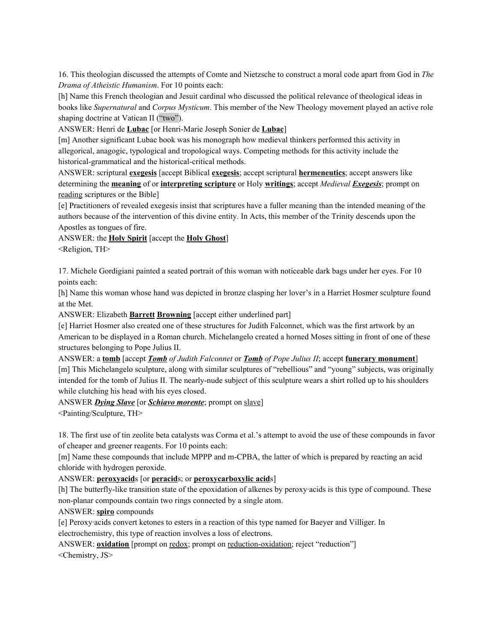16. This theologian discussed the attempts of Comte and Nietzsche to construct a moral code apart from God in *The Drama of Atheistic Humanism*. For 10 points each:

[h] Name this French theologian and Jesuit cardinal who discussed the political relevance of theological ideas in books like *Supernatural* and *Corpus Mysticum*. This member of the New Theology movement played an active role shaping doctrine at Vatican II ("two").

ANSWER: Henri de **Lubac** [or Henri-Marie Joseph Sonier de **Lubac**]

[m] Another significant Lubac book was his monograph how medieval thinkers performed this activity in allegorical, anagogic, typological and tropological ways. Competing methods for this activity include the historical-grammatical and the historical-critical methods.

ANSWER: scriptural **exegesis** [accept Biblical **exegesis**; accept scriptural **hermeneutics**; accept answers like determining the **meaning** of or **interpreting scripture** or Holy **writings**; accept *Medieval Exegesis*; prompt on reading scriptures or the Bible]

[e] Practitioners of revealed exegesis insist that scriptures have a fuller meaning than the intended meaning of the authors because of the intervention of this divine entity. In Acts, this member of the Trinity descends upon the Apostles as tongues of fire.

ANSWER: the **Holy Spirit** [accept the **Holy Ghost**]

<Religion, TH>

17. Michele Gordigiani painted a seated portrait of this woman with noticeable dark bags under her eyes. For 10 points each:

[h] Name this woman whose hand was depicted in bronze clasping her lover's in a Harriet Hosmer sculpture found at the Met.

ANSWER: Elizabeth **Barrett Browning** [accept either underlined part]

[e] Harriet Hosmer also created one of these structures for Judith Falconnet, which was the first artwork by an American to be displayed in a Roman church. Michelangelo created a horned Moses sitting in front of one of these structures belonging to Pope Julius II.

ANSWER: a **tomb** [accept *Tomb of Judith Falconnet* or *Tomb of Pope Julius II*; accept **funerary monument**] [m] This Michelangelo sculpture, along with similar sculptures of "rebellious" and "young" subjects, was originally intended for the tomb of Julius II. The nearly-nude subject of this sculpture wears a shirt rolled up to his shoulders while clutching his head with his eyes closed.

ANSWER *Dying Slave* [or *Schiavo morente*; prompt on slave]

<Painting/Sculpture, TH>

18. The first use of tin zeolite beta catalysts was Corma et al.'s attempt to avoid the use of these compounds in favor of cheaper and greener reagents. For 10 points each:

[m] Name these compounds that include MPPP and m-CPBA, the latter of which is prepared by reacting an acid chloride with hydrogen peroxide.

## ANSWER: **peroxyacid**s [or **peracid**s; or **peroxycarboxylic acid**s]

[h] The butterfly-like transition state of the epoxidation of alkenes by peroxy·acids is this type of compound. These non-planar compounds contain two rings connected by a single atom.

ANSWER: **spiro** compounds

[e] Peroxy·acids convert ketones to esters in a reaction of this type named for Baeyer and Villiger. In electrochemistry, this type of reaction involves a loss of electrons.

ANSWER: **oxidation** [prompt on redox; prompt on reduction-oxidation; reject "reduction"]

<Chemistry, JS>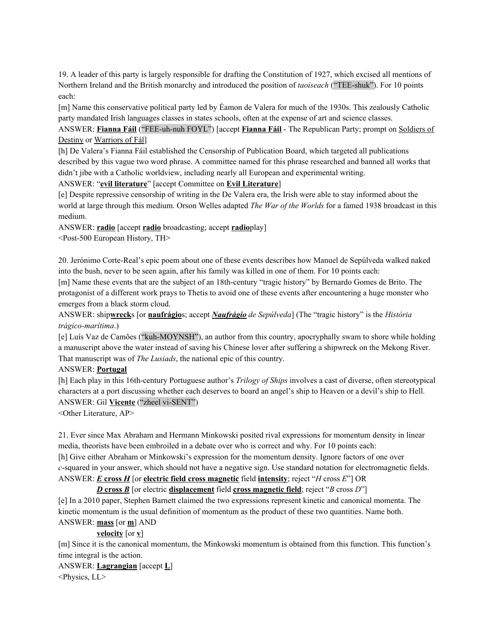19. A leader of this party is largely responsible for drafting the Constitution of 1927, which excised all mentions of Northern Ireland and the British monarchy and introduced the position of *taoiseach* ("TEE-shuk"). For 10 points each:

[m] Name this conservative political party led by Éamon de Valera for much of the 1930s. This zealously Catholic party mandated Irish languages classes in states schools, often at the expense of art and science classes.

ANSWER: **Fianna Fáil** ("FEE-uh-nuh FOYL") [accept **Fianna Fáil** - The Republican Party; prompt on Soldiers of Destiny or Warriors of Fál]

[h] De Valera's Fianna Fáil established the Censorship of Publication Board, which targeted all publications described by this vague two word phrase. A committee named for this phrase researched and banned all works that didn't jibe with a Catholic worldview, including nearly all European and experimental writing.

#### ANSWER: "**evil literature**" [accept Committee on **Evil Literature**]

[e] Despite repressive censorship of writing in the De Valera era, the Irish were able to stay informed about the world at large through this medium. Orson Welles adapted *The War of the Worlds* for a famed 1938 broadcast in this medium.

ANSWER: **radio** [accept **radio** broadcasting; accept **radio**play]

<Post-500 European History, TH>

20. Jerónimo Corte-Real's epic poem about one of these events describes how Manuel de Sepúlveda walked naked into the bush, never to be seen again, after his family was killed in one of them. For 10 points each:

[m] Name these events that are the subject of an 18th-century "tragic history" by Bernardo Gomes de Brito. The protagonist of a different work prays to Thetis to avoid one of these events after encountering a huge monster who emerges from a black storm cloud.

ANSWER: ship**wreck**s [or **naufrágio**s; accept *Naufrágio de Sepúlveda*] (The "tragic history" is the *História trágico-marítima*.)

[e] Luís Vaz de Camões ("kuh-MOYNSH"), an author from this country, apocryphally swam to shore while holding a manuscript above the water instead of saving his Chinese lover after suffering a shipwreck on the Mekong River. That manuscript was of *The Lusiads*, the national epic of this country.

## ANSWER: **Portugal**

[h] Each play in this 16th-century Portuguese author's *Trilogy of Ships* involves a cast of diverse, often stereotypical characters at a port discussing whether each deserves to board an angel's ship to Heaven or a devil's ship to Hell. ANSWER: Gil **Vicente** ("zheel vi-SENT")

<Other Literature, AP>

21. Ever since Max Abraham and Hermann Minkowski posited rival expressions for momentum density in linear media, theorists have been embroiled in a debate over who is correct and why. For 10 points each: [h] Give either Abraham or Minkowski's expression for the momentum density. Ignore factors of one over *c*-squared in your answer, which should not have a negative sign. Use standard notation for electromagnetic fields. ANSWER: *E* **cross** *H* [or **electric field cross magnetic** field **intensity**; reject "*H* cross *E*"] OR

## *D* **cross** *B* [or electric **displacement** field **cross magnetic field**; reject "*B* cross *D*"]

[e] In a 2010 paper, Stephen Barnett claimed the two expressions represent kinetic and canonical momenta. The kinetic momentum is the usual definition of momentum as the product of these two quantities. Name both. ANSWER: **mass** [or **m**] AND

## **velocity** [or **v**]

[m] Since it is the canonical momentum, the Minkowski momentum is obtained from this function. This function's time integral is the action.

## ANSWER: **Lagrangian** [accept **L**]

<Physics, LL>